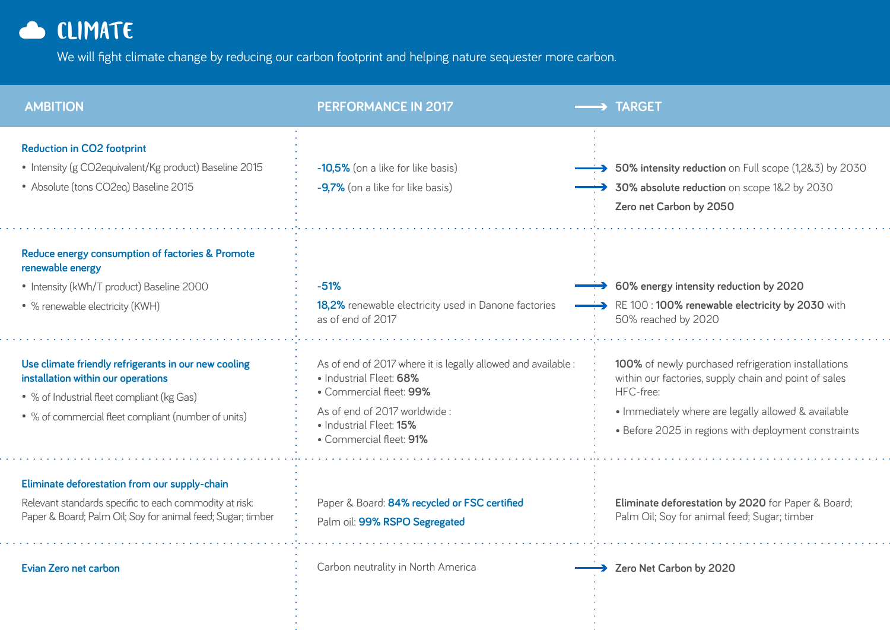## CLIMATE

We will fight climate change by reducing our carbon footprint and helping nature sequester more carbon.

| <b>AMBITION</b>                                                                                                                                                                                 | <b>PERFORMANCE IN 2017</b>                                                                                                                                                                               | <b>TARGET</b>                                                                                                                                                                                                                            |
|-------------------------------------------------------------------------------------------------------------------------------------------------------------------------------------------------|----------------------------------------------------------------------------------------------------------------------------------------------------------------------------------------------------------|------------------------------------------------------------------------------------------------------------------------------------------------------------------------------------------------------------------------------------------|
| <b>Reduction in CO2 footprint</b><br>• Intensity (g CO2equivalent/Kg product) Baseline 2015<br>• Absolute (tons CO2eq) Baseline 2015                                                            | -10,5% (on a like for like basis)<br>-9,7% (on a like for like basis)                                                                                                                                    | $\rightarrow$ 50% intensity reduction on Full scope (1,2&3) by 2030<br>30% absolute reduction on scope 1&2 by 2030<br>Zero net Carbon by 2050                                                                                            |
| Reduce energy consumption of factories & Promote<br>renewable energy<br>• Intensity (kWh/T product) Baseline 2000<br>• % renewable electricity (KWH)                                            | $-51%$<br>18,2% renewable electricity used in Danone factories<br>as of end of 2017                                                                                                                      | $\div$ 60% energy intensity reduction by 2020<br>RE 100:100% renewable electricity by 2030 with<br>50% reached by 2020                                                                                                                   |
| Use climate friendly refrigerants in our new cooling<br>installation within our operations<br>• % of Industrial fleet compliant (kg Gas)<br>• % of commercial fleet compliant (number of units) | As of end of 2017 where it is legally allowed and available:<br>• Industrial Fleet: 68%<br>• Commercial fleet: 99%<br>As of end of 2017 worldwide:<br>• Industrial Fleet: 15%<br>• Commercial fleet: 91% | 100% of newly purchased refrigeration installations<br>within our factories, supply chain and point of sales<br>HFC-free:<br>• Immediately where are legally allowed & available<br>• Before 2025 in regions with deployment constraints |
| Eliminate deforestation from our supply-chain<br>Relevant standards specific to each commodity at risk:<br>Paper & Board; Palm Oil; Soy for animal feed; Sugar; timber                          | Paper & Board: 84% recycled or FSC certified<br>Palm oil: 99% RSPO Segregated                                                                                                                            | Eliminate deforestation by 2020 for Paper & Board;<br>Palm Oil; Soy for animal feed; Sugar; timber                                                                                                                                       |
| <b>Evian Zero net carbon</b>                                                                                                                                                                    | Carbon neutrality in North America                                                                                                                                                                       | Zero Net Carbon by 2020                                                                                                                                                                                                                  |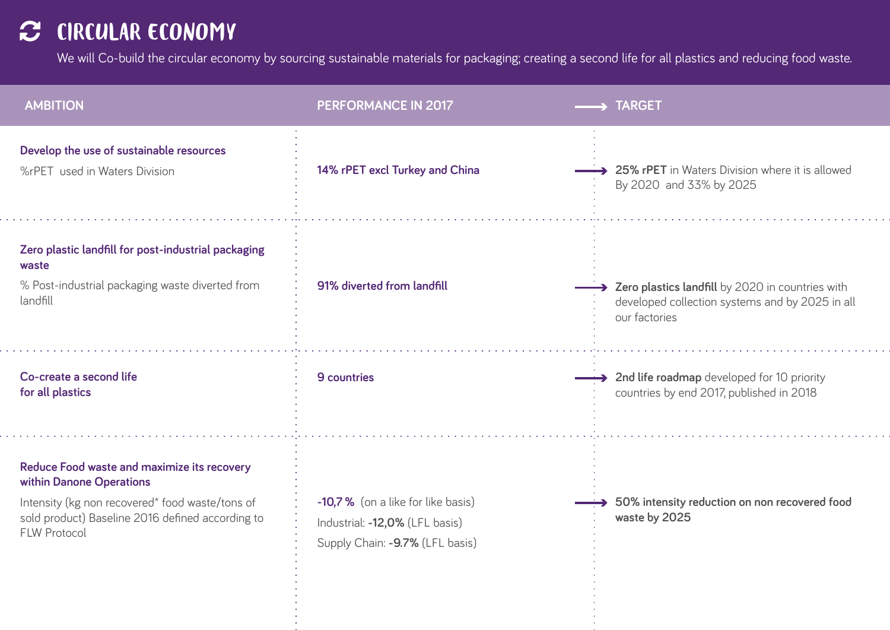## C CIRCULAR ECONOMY

We will Co-build the circular economy by sourcing sustainable materials for packaging; creating a second life for all plastics and reducing food waste.

| <b>AMBITION</b>                                                                                                                                                                                       | <b>PERFORMANCE IN 2017</b>                                                                             | $\rightarrow$ TARGET                                                                                                   |
|-------------------------------------------------------------------------------------------------------------------------------------------------------------------------------------------------------|--------------------------------------------------------------------------------------------------------|------------------------------------------------------------------------------------------------------------------------|
| Develop the use of sustainable resources<br>%rPET used in Waters Division                                                                                                                             | 14% rPET excl Turkey and China                                                                         | → 25% rPET in Waters Division where it is allowed<br>By 2020 and 33% by 2025                                           |
| Zero plastic landfill for post-industrial packaging<br>waste<br>% Post-industrial packaging waste diverted from<br>landfill                                                                           | 91% diverted from landfill                                                                             | > Zero plastics landfill by 2020 in countries with<br>developed collection systems and by 2025 in all<br>our factories |
| Co-create a second life<br>for all plastics                                                                                                                                                           | 9 countries                                                                                            | A 2nd life roadmap developed for 10 priority<br>countries by end 2017, published in 2018                               |
| Reduce Food waste and maximize its recovery<br>within Danone Operations<br>Intensity (kg non recovered* food waste/tons of<br>sold product) Baseline 2016 defined according to<br><b>FLW Protocol</b> | -10,7% (on a like for like basis)<br>Industrial: -12,0% (LFL basis)<br>Supply Chain: -9.7% (LFL basis) | 50% intensity reduction on non recovered food<br>waste by 2025                                                         |